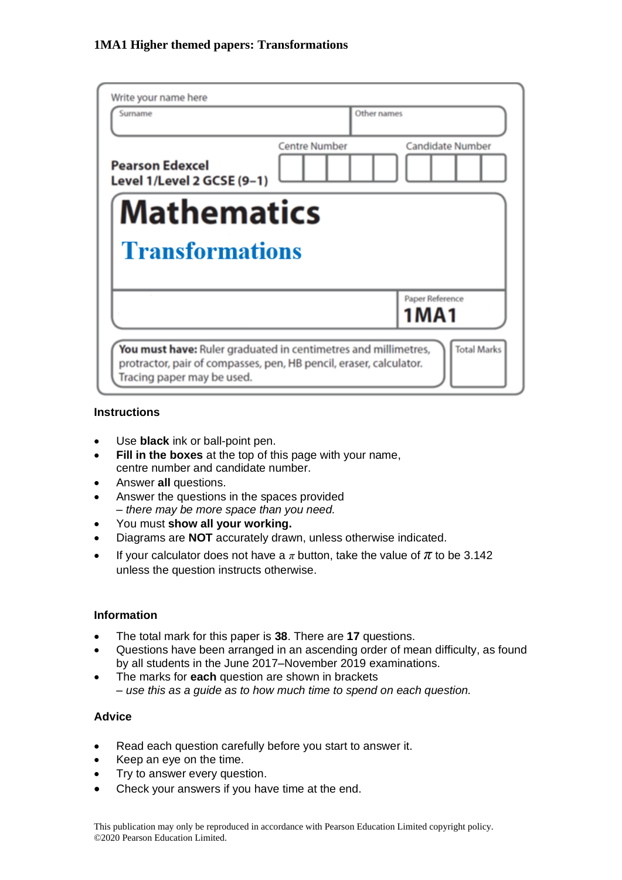| Write your name here                                                                                                                                                                     |                                                 |
|------------------------------------------------------------------------------------------------------------------------------------------------------------------------------------------|-------------------------------------------------|
| Surname                                                                                                                                                                                  | Other names                                     |
| <b>Pearson Edexcel</b><br>Level 1/Level 2 GCSE (9-1)                                                                                                                                     | <b>Centre Number</b><br><b>Candidate Number</b> |
| <b>Mathematics</b>                                                                                                                                                                       |                                                 |
| <b>Transformations</b>                                                                                                                                                                   |                                                 |
|                                                                                                                                                                                          | Paper Reference<br>1 M A 1                      |
| <b>Total Marks</b><br>You must have: Ruler graduated in centimetres and millimetres,<br>protractor, pair of compasses, pen, HB pencil, eraser, calculator.<br>Tracing paper may be used. |                                                 |

#### **Instructions**

- Use **black** ink or ball-point pen.
- **Fill in the boxes** at the top of this page with your name, centre number and candidate number.
- Answer **all** questions.
- Answer the questions in the spaces provided *– there may be more space than you need.*
- You must **show all your working.**
- Diagrams are **NOT** accurately drawn, unless otherwise indicated.
- If your calculator does not have a  $\pi$  button, take the value of  $\pi$  to be 3.142 unless the question instructs otherwise.

#### **Information**

- The total mark for this paper is **38**. There are **17** questions.
- Questions have been arranged in an ascending order of mean difficulty, as found by all students in the June 2017–November 2019 examinations.
- The marks for **each** question are shown in brackets *– use this as a guide as to how much time to spend on each question.*

### **Advice**

- Read each question carefully before you start to answer it.
- Keep an eye on the time.
- Try to answer every question.
- Check your answers if you have time at the end.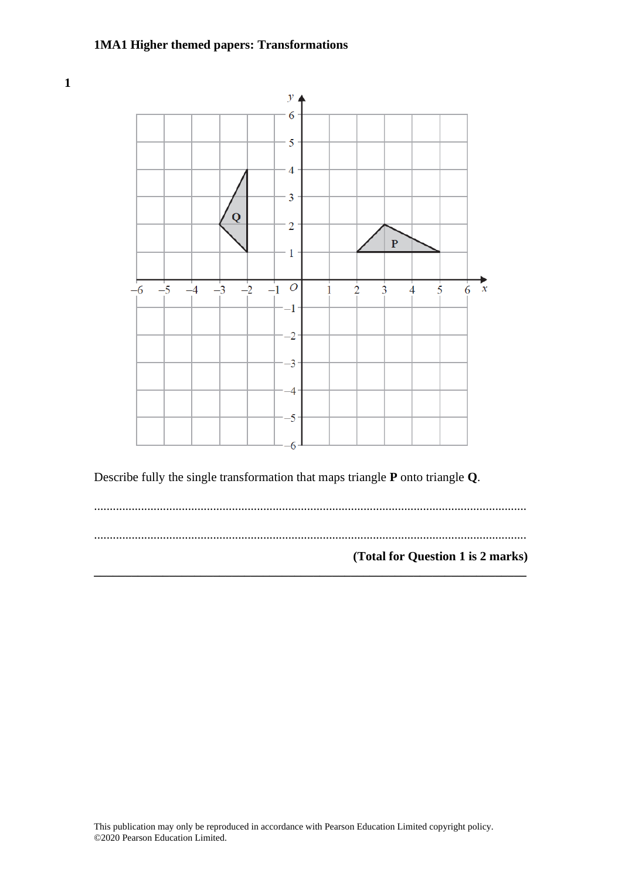

Describe fully the single transformation that maps triangle **P** onto triangle **Q**.

.......................................................................................................................................... .......................................................................................................................................... **(Total for Question 1 is 2 marks) \_\_\_\_\_\_\_\_\_\_\_\_\_\_\_\_\_\_\_\_\_\_\_\_\_\_\_\_\_\_\_\_\_\_\_\_\_\_\_\_\_\_\_\_\_\_\_\_\_\_\_\_\_\_\_\_\_\_\_\_\_\_\_\_\_\_\_\_\_**

**1**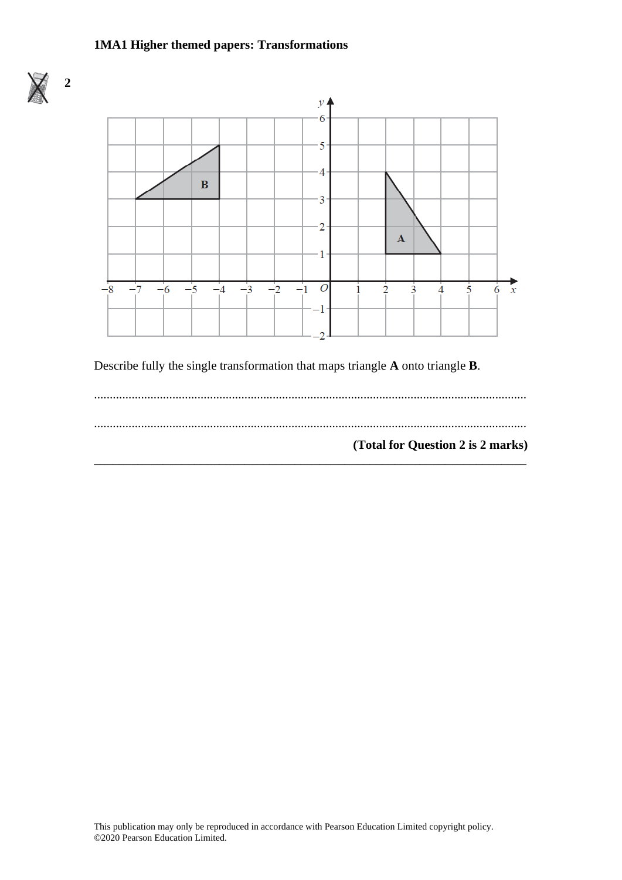

**2**



Describe fully the single transformation that maps triangle **A** onto triangle **B**.

.......................................................................................................................................... .......................................................................................................................................... **(Total for Question 2 is 2 marks) \_\_\_\_\_\_\_\_\_\_\_\_\_\_\_\_\_\_\_\_\_\_\_\_\_\_\_\_\_\_\_\_\_\_\_\_\_\_\_\_\_\_\_\_\_\_\_\_\_\_\_\_\_\_\_\_\_\_\_\_\_\_\_\_\_\_\_\_\_**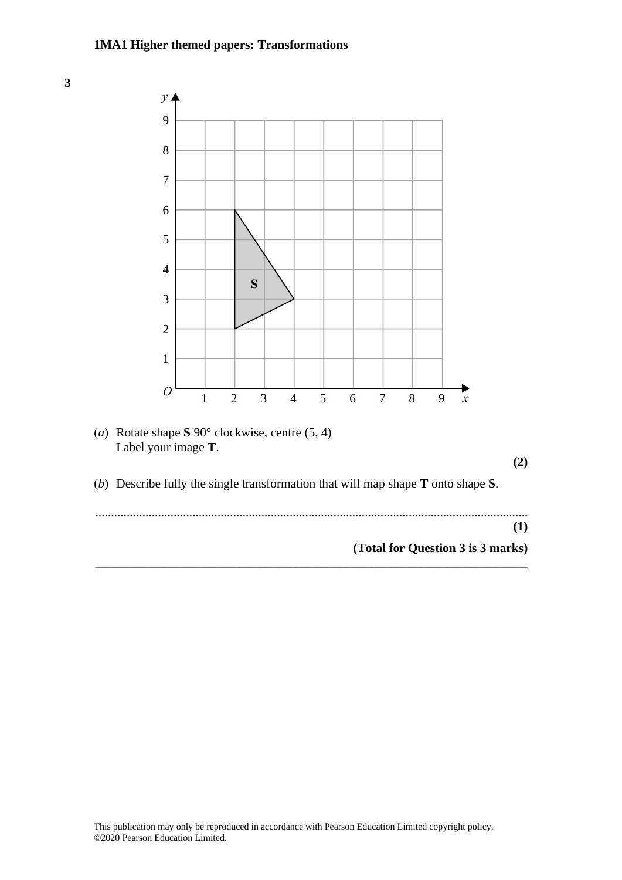

**\_\_\_\_\_\_\_\_\_\_\_\_\_\_\_\_\_\_\_\_\_\_\_\_\_\_\_\_\_\_\_\_\_\_\_\_\_\_\_\_\_\_\_\_\_\_\_\_\_\_\_\_\_\_\_\_\_\_\_\_\_\_\_\_\_\_\_\_\_**

**(Total for Question 3 is 3 marks) (Total for Question 2 is 3 marks)**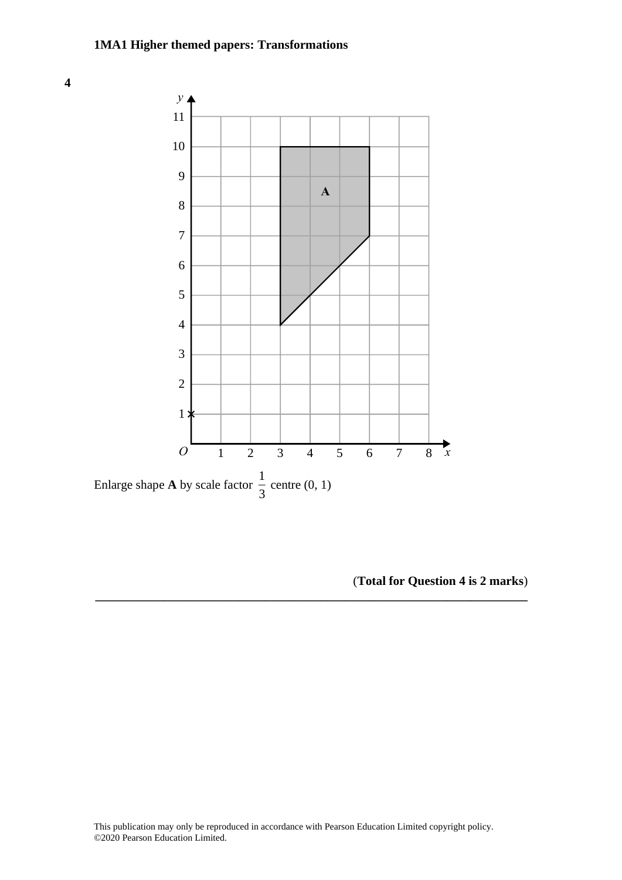

Enlarge shape **A** by scale factor  $\frac{1}{2}$  $\frac{1}{3}$  centre  $(0, 1)$ Enlarge shape **A** by scale factor  $\frac{1}{3}$  centre

(**Total for Question 4 is 2 marks**) **(Total for Question 7 is 2 marks)**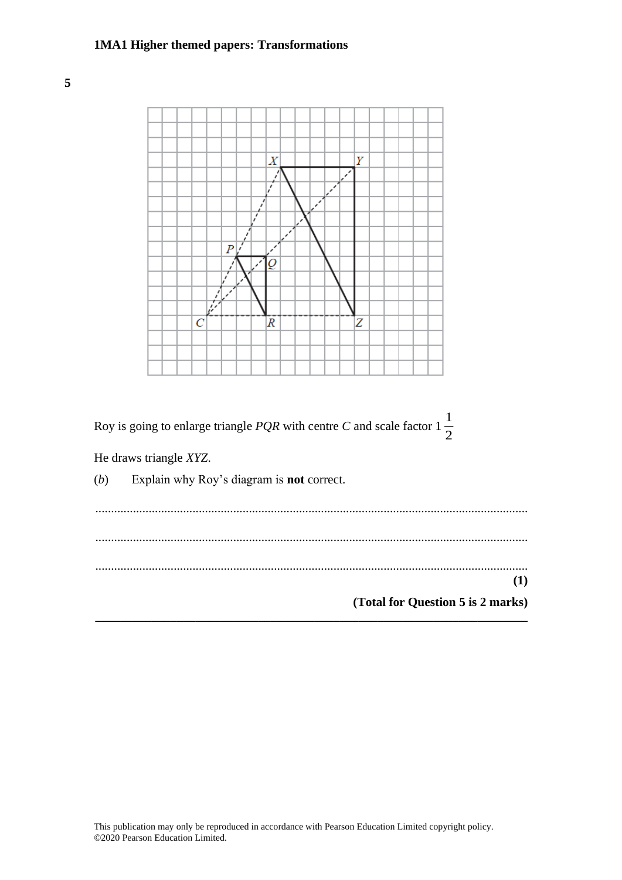**5**



He draws triangle *XYZ*.

(*b*) Explain why Roy's diagram is **not** correct.

.......................................................................................................................................... .......................................................................................................................................... .......................................................................................................................................... **(1) (Total for Question 5 is 2 marks) \_\_\_\_\_\_\_\_\_\_\_\_\_\_\_\_\_\_\_\_\_\_\_\_\_\_\_\_\_\_\_\_\_\_\_\_\_\_\_\_\_\_\_\_\_\_\_\_\_\_\_\_\_\_\_\_\_\_\_\_\_\_\_\_\_\_\_\_\_**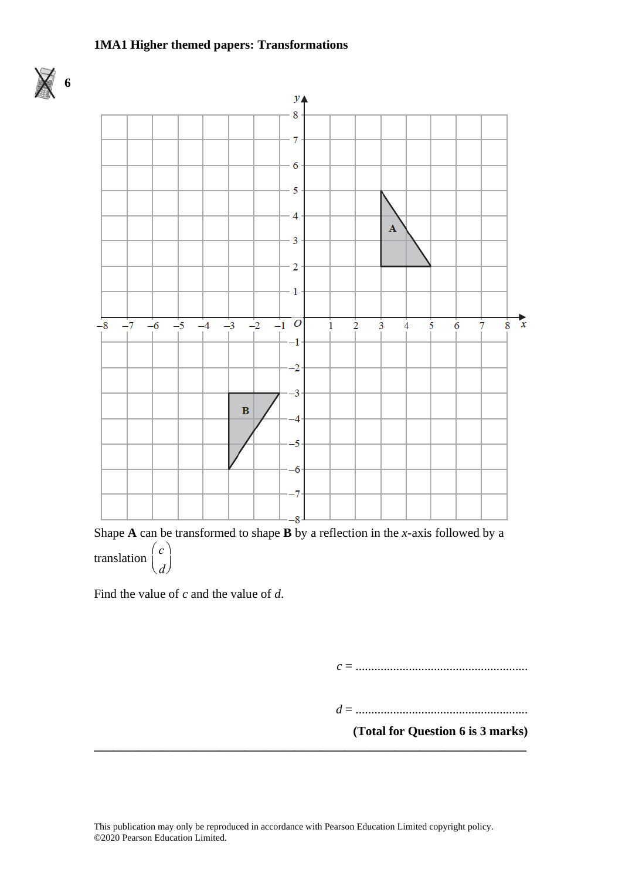



Shape **A** can be transformed to shape **B** by a reflection in the *x*-axis followed by a translation *c d* æ  $\langle$ ö ø ÷

Find the value of *c* and the value of *d*.

*c* = .......................................................

*d* = .......................................................

**(Total for Question 6 is 3 marks)**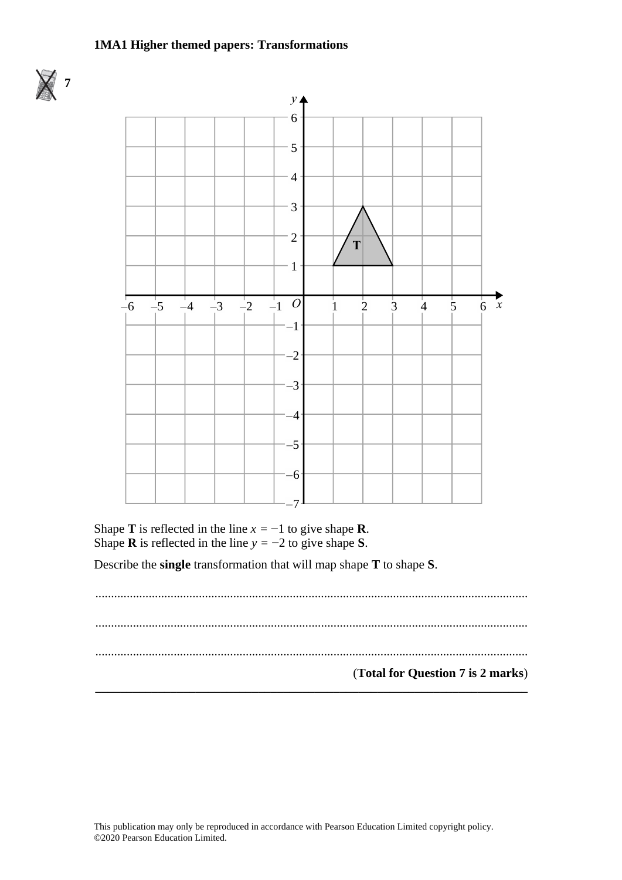



Shape **T** is reflected in the line  $x = -1$  to give shape **R**. Shape **R** is reflected in the line  $y = -2$  to give shape **S**.

Describe the **single** transformation that will map shape **T** to shape **S**. Describe the **single** transformation that will map shape **T** to shape **S**.

.......................................................................................................................................... .......................................................................................................................................... .......................................................................................................................................... (**Total for Question 7 is 2 marks**) **\_\_\_\_\_\_\_\_\_\_\_\_\_\_\_\_\_\_\_\_\_\_\_\_\_\_\_\_\_\_\_\_\_\_\_\_\_\_\_\_\_\_\_\_\_\_\_\_\_\_\_\_\_\_\_\_\_\_\_\_\_\_\_\_\_\_\_\_\_ (Total for Question 7 is 2 marks)**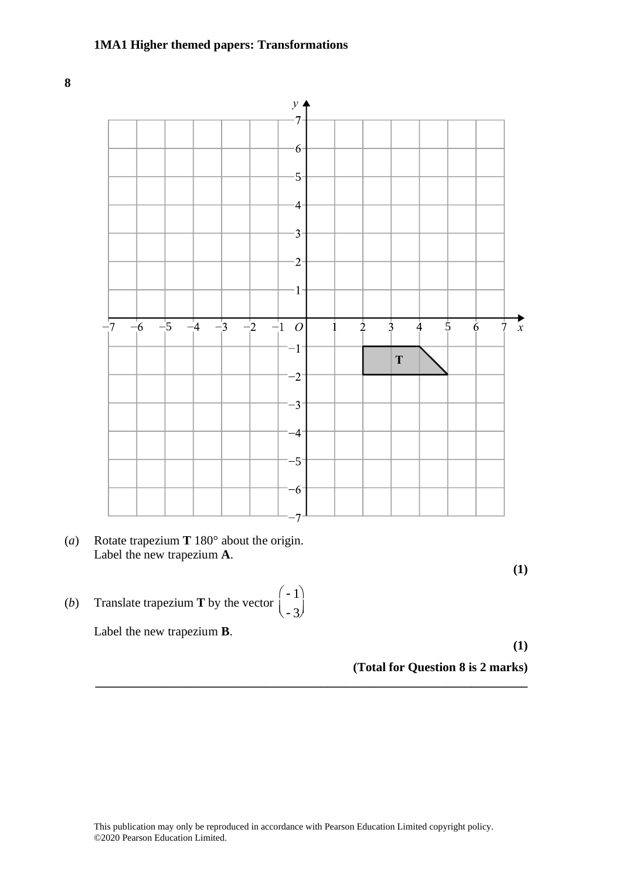**8 5**



- (*a*) Rotate trapezium **T** 180 $^{\circ}$  about the origin. Label the new trapezium **A**.
- (*b*) Translate trapezium **T** by the vector  $\begin{pmatrix} -1 \\ -1 \end{pmatrix}$ sl e e i m **T** e vec o isiale trapezium **1** by the

Label the new trapezium **B**.

**(1) (Total for Question 5 is 2 marks)**

**(1) (1)**

**(Total for Question 8 is 2 marks)**

-3

ö ø ÷

.<br>ا :) ÷

**\_\_\_\_\_\_\_\_\_\_\_\_\_\_\_\_\_\_\_\_\_\_\_\_\_\_\_\_\_\_\_\_\_\_\_\_\_\_\_\_\_\_\_\_\_\_\_\_\_\_\_\_\_\_\_\_\_\_\_\_\_\_\_\_\_\_\_\_\_**

æ  $\setminus$ 

 $\overline{a}$  è ç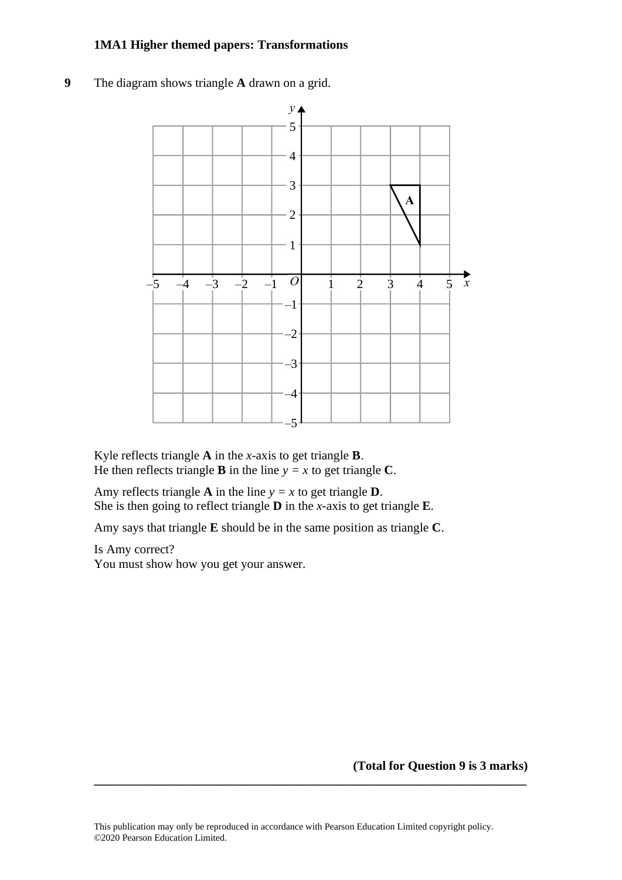**9** The diagram shows triangle **A** drawn on a grid.



Kyle reflects triangle **A** in the *x*-axis to get triangle **B**. Kyle reflects triangle **A** in the *<sup>x</sup>*-axis to ge<sup>t</sup> triangle **B**. He then reflects triangle **B** in the line  $y = x$  to get triangle **C**.

Amy reflects triangle **A** in the line  $y = x$  to get triangle **D**. She is then going to reflect triangle **D** in the *x*-axis to get triangle **E**. She is then going to reflect triangle **D** in the *x*-axis to get triangle

Amy says that triangle **E** should be in the same position as triangle **C**. Amy says that triangle **E** should be in the same position as triangle **C**.

Is Amy correct? You must show how you get your answer.

**(Total for Question 9 is 3 marks)**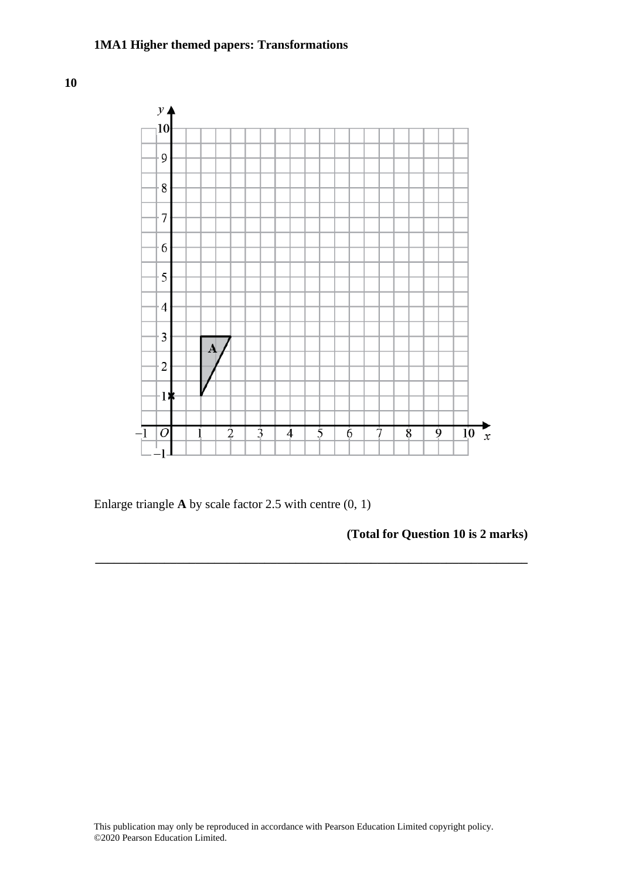**10**



**\_\_\_\_\_\_\_\_\_\_\_\_\_\_\_\_\_\_\_\_\_\_\_\_\_\_\_\_\_\_\_\_\_\_\_\_\_\_\_\_\_\_\_\_\_\_\_\_\_\_\_\_\_\_\_\_\_\_\_\_\_\_\_\_\_\_\_\_\_**

Enlarge triangle **A** by scale factor 2.5 with centre (0, 1)

**(Total for Question 10 is 2 marks)**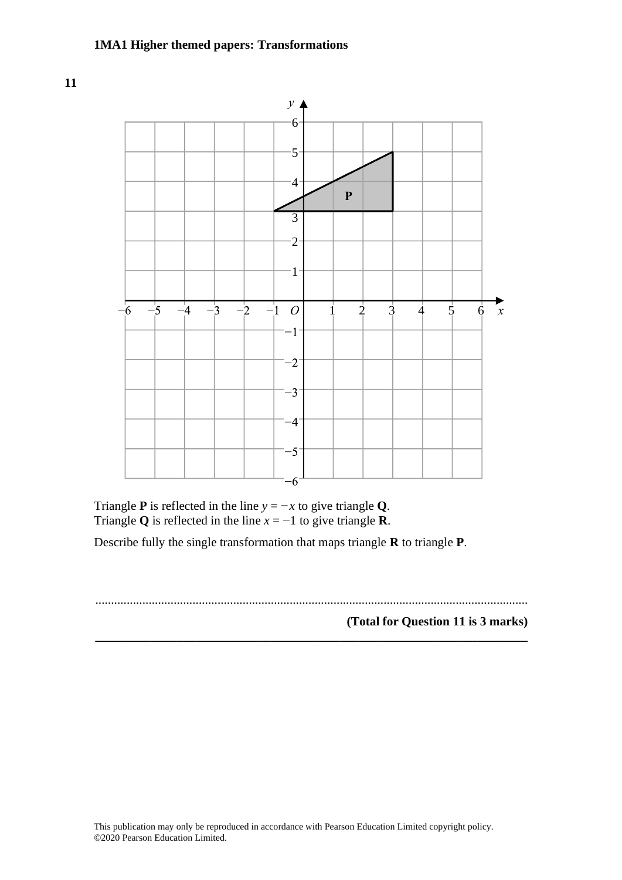

Triangle **P** is reflected in the line  $y = -x$  to give triangle **Q**. Triangle **Q** is reflected in the line  $x = -1$  to give triangle **R**.

**9** Martin truncates the number *N* to 1 digit.

Describe fully the single transformation that maps triangle **R** to triangle **P**. Describe fully the single transformation that maps triangle **R** to triangle **P**.

**\_\_\_\_\_\_\_\_\_\_\_\_\_\_\_\_\_\_\_\_\_\_\_\_\_\_\_\_\_\_\_\_\_\_\_\_\_\_\_\_\_\_\_\_\_\_\_\_\_\_\_\_\_\_\_\_\_\_\_\_\_\_\_\_\_\_\_\_\_**

.......................................................................................................................................... **(Total for Question 8 is 3 marks)**

**(Total for Question 11 is 3 marks)**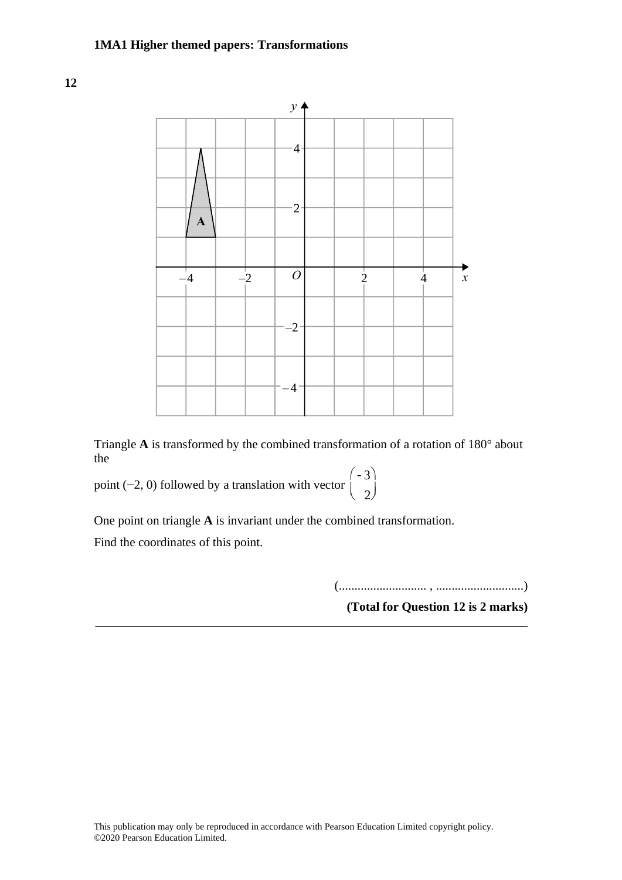

Triangle A is transformed by the combined transformation of a rotation of 180° about the

> $\setminus$ ø ÷

point (−2, 0) followed by a translation with vector  $\begin{bmatrix} -3 \\ 1 \end{bmatrix}$  2 æ  $\langle$ e<br><sup>2</sup> One point on triangle **A** is invariant under the combined transformation.

One point on triangle A is invariant under the combined transformation.

Find the coordinates of this point.

(............................ , ............................) **(Total for Question 20 is 2 marks)**

**(Total for Question 12 is 2 marks) \_\_\_\_\_\_\_\_\_\_\_\_\_\_\_\_\_\_\_\_\_\_\_\_\_\_\_\_\_\_\_\_\_\_\_\_\_\_\_\_\_\_\_\_\_\_\_\_\_\_\_\_\_\_\_\_\_\_\_\_\_\_\_\_\_\_\_\_\_**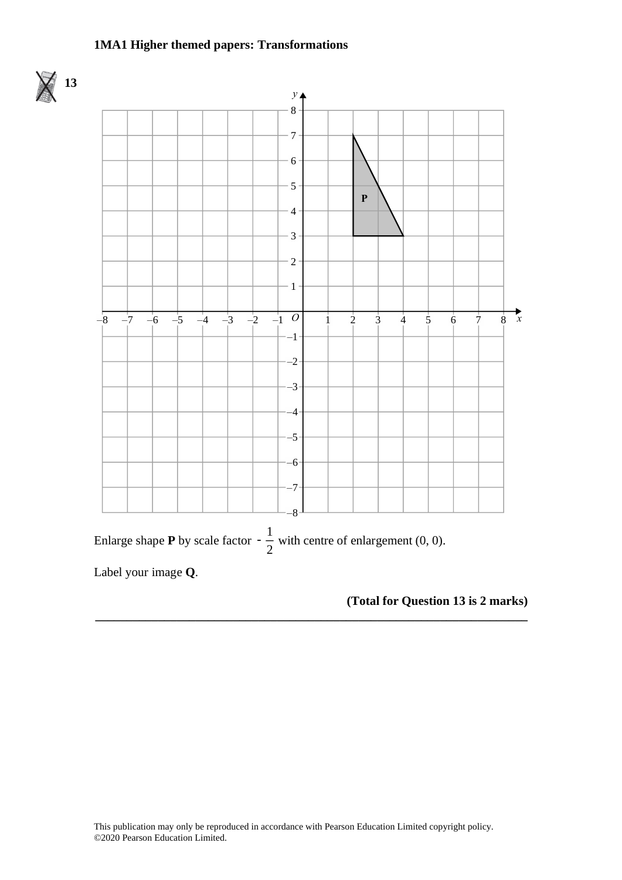

### **(Total for Question 13 is 2 marks)**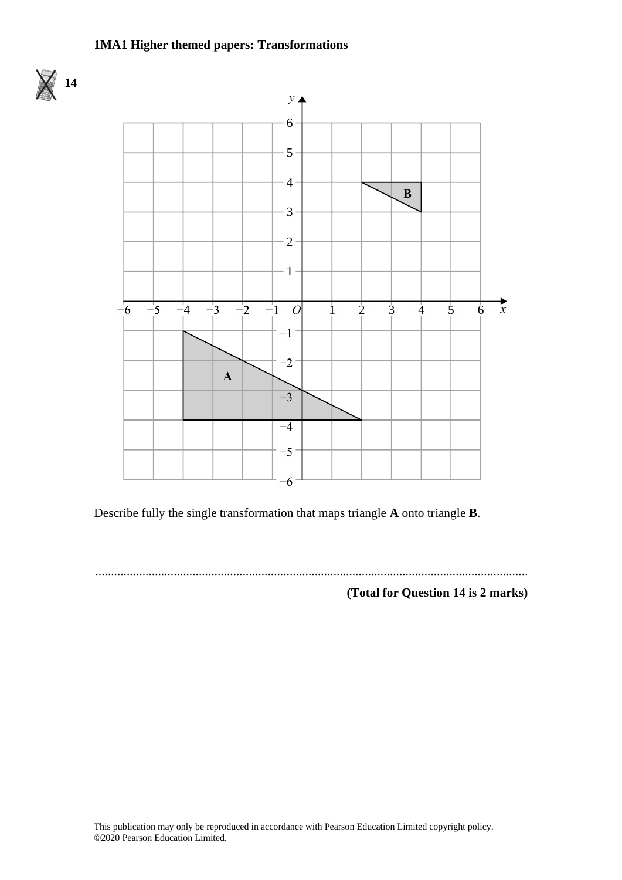

Describe fully the single transformation that maps triangle **A** onto triangle **B**. Describe fully the single transformation that maps triangle **A** onto triangle **B**.

.......................................................................................................................................... **(Total for Question 13 is 2 marks)**

**(Total for Question 14 is 2 marks)**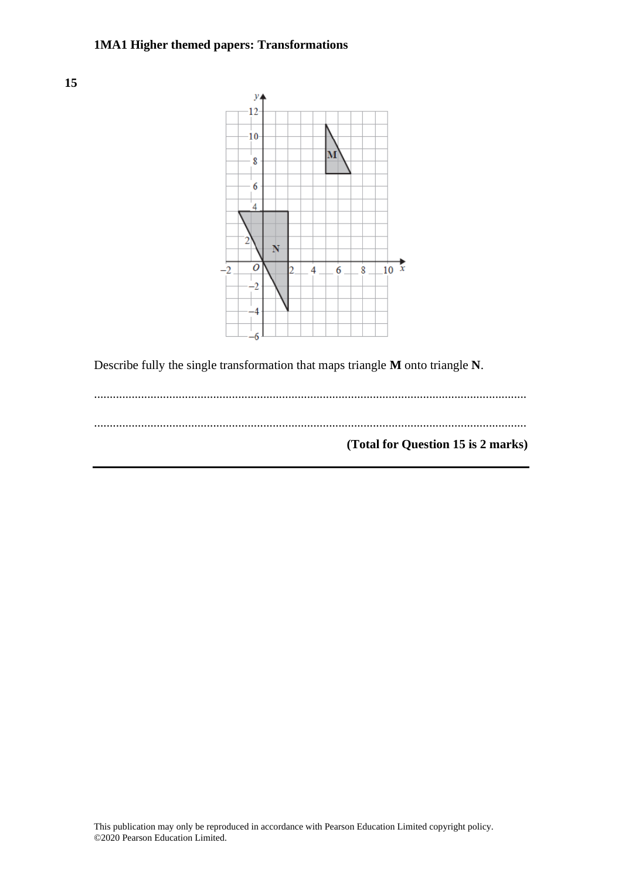



Describe fully the single transformation that maps triangle **M** onto triangle **N**.

.......................................................................................................................................... .......................................................................................................................................... **(Total for Question 15 is 2 marks)**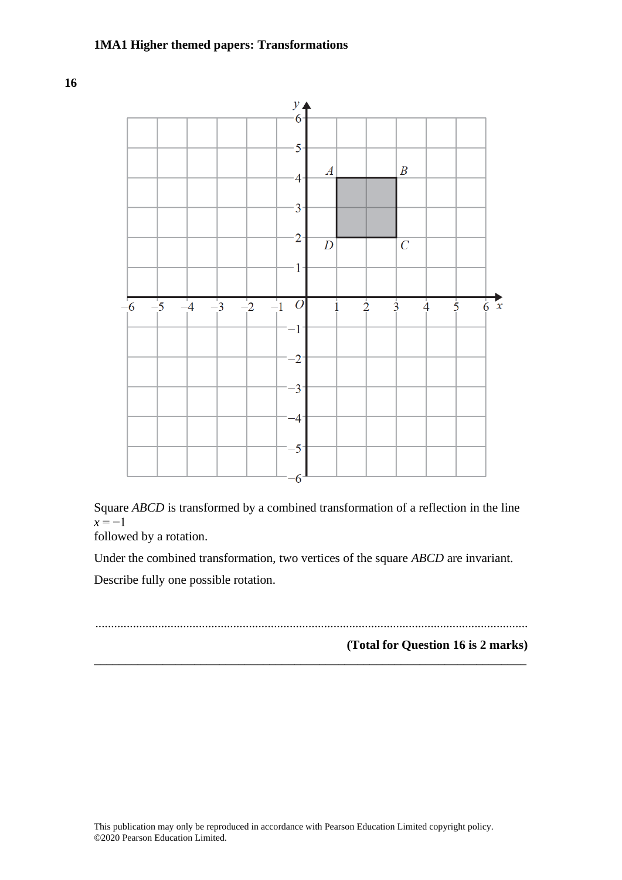

Square *ABCD* is transformed by a combined transformation of a reflection in the line  $x = -1$ 

followed by a rotation.

Under the combined transformation, two vertices of the square *ABCD* are invariant.

Describe fully one possible rotation.

..........................................................................................................................................

**\_\_\_\_\_\_\_\_\_\_\_\_\_\_\_\_\_\_\_\_\_\_\_\_\_\_\_\_\_\_\_\_\_\_\_\_\_\_\_\_\_\_\_\_\_\_\_\_\_\_\_\_\_\_\_\_\_\_\_\_\_\_\_\_\_\_\_\_\_**

**(Total for Question 16 is 2 marks)**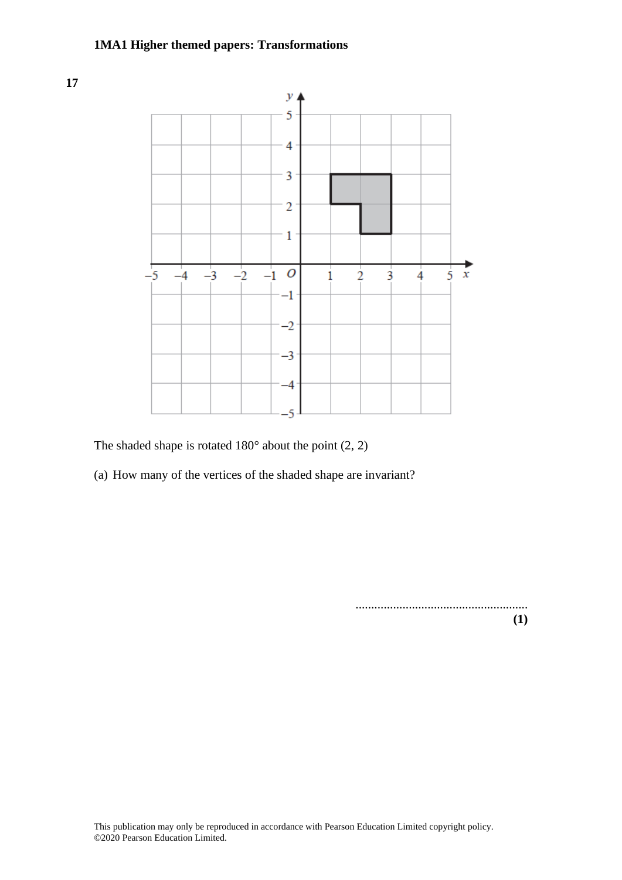**17**



The shaded shape is rotated  $180^\circ$  about the point  $(2, 2)$ 

(a) How many of the vertices of the shaded shape are invariant?

....................................................... **(1)**